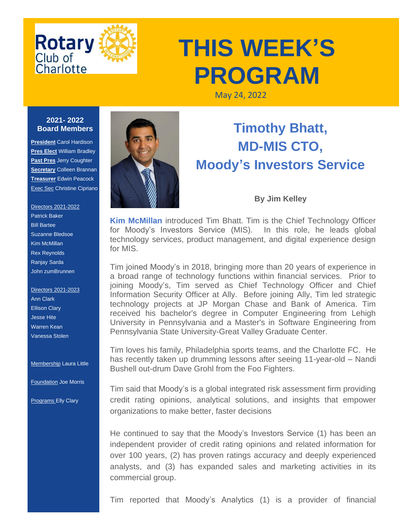

## **THIS WEEK'S PROGRAM**

May 24, 2022

## **2021- 2022 Board Members**

**President** Carol Hardison **Pres Elect** William Bradley **Past Pres** Jerry Coughter **Secretary** Colleen Brannan **Treasurer** Edwin Peacock **Exec Sec Christine Cipriano** 

Directors 2021-2022 Patrick Baker Bill Bartee Suzanne Bledsoe Kim McMillan Rex Reynolds Ranjay Sarda John zumBrunnen

Directors 2021-2023 Ann Clark Ellison Clary Jesse Hite Warren Kean Vanessa Stolen

**Membership Laura Little** 

Foundation Joe Morris

Programs Elly Clary



## **Timothy Bhatt, MD-MIS CTO, Moody's Investors Service**

## **By Jim Kelley**

**Kim McMillan** introduced Tim Bhatt. Tim is the Chief Technology Officer for Moody's Investors Service (MIS). In this role, he leads global technology services, product management, and digital experience design for MIS.

Tim joined Moody's in 2018, bringing more than 20 years of experience in a broad range of technology functions within financial services. Prior to joining Moody's, Tim served as Chief Technology Officer and Chief Information Security Officer at Ally. Before joining Ally, Tim led strategic technology projects at JP Morgan Chase and Bank of America. Tim received his bachelor's degree in Computer Engineering from Lehigh University in Pennsylvania and a Master's in Software Engineering from Pennsylvania State University-Great Valley Graduate Center.

Tim loves his family, Philadelphia sports teams, and the Charlotte FC. He has recently taken up drumming lessons after seeing 11-year-old – Nandi Bushell out-drum Dave Grohl from the Foo Fighters.

Tim said that Moody's is a global integrated risk assessment firm providing credit rating opinions, analytical solutions, and insights that empower organizations to make better, faster decisions

He continued to say that the Moody's Investors Service (1) has been an independent provider of credit rating opinions and related information for over 100 years, (2) has proven ratings accuracy and deeply experienced analysts, and (3) has expanded sales and marketing activities in its commercial group.

Tim reported that Moody's Analytics (1) is a provider of financial